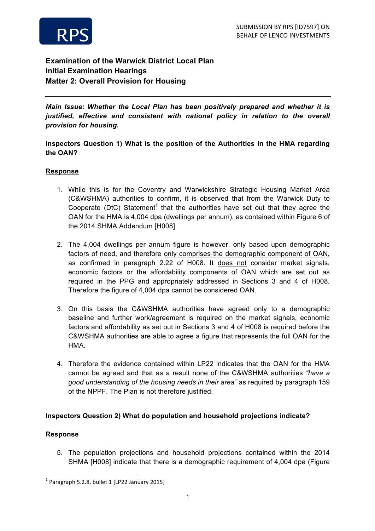

# **Examination of the Warwick District Local Plan Initial Examination Hearings Matter 2: Overall Provision for Housing**

*Main Issue: Whether the Local Plan has been positively prepared and whether it is justified, effective and consistent with national policy in relation to the overall provision for housing.*

**Inspectors Question 1) What is the position of the Authorities in the HMA regarding the OAN?**

### **Response**

- 1. While this is for the Coventry and Warwickshire Strategic Housing Market Area (C&WSHMA) authorities to confirm, it is observed that from the Warwick Duty to Cooperate (DtC) Statement<sup>1</sup> that the authorities have set out that they agree the OAN for the HMA is 4,004 dpa (dwellings per annum), as contained within Figure 6 of the 2014 SHMA Addendum [H008].
- 2. The 4,004 dwellings per annum figure is however, only based upon demographic factors of need, and therefore only comprises the demographic component of OAN, as confirmed in paragraph 2.22 of H008. It does not consider market signals, economic factors or the affordability components of OAN which are set out as required in the PPG and appropriately addressed in Sections 3 and 4 of H008. Therefore the figure of 4,004 dpa cannot be considered OAN.
- 3. On this basis the C&WSHMA authorities have agreed only to a demographic baseline and further work/agreement is required on the market signals, economic factors and affordability as set out in Sections 3 and 4 of H008 is required before the C&WSHMA authorities are able to agree a figure that represents the full OAN for the HMA.
- 4. Therefore the evidence contained within LP22 indicates that the OAN for the HMA cannot be agreed and that as a result none of the C&WSHMA authorities *"have a good understanding of the housing needs in their area"* as required by paragraph 159 of the NPPF. The Plan is not therefore justified.

# **Inspectors Question 2) What do population and household projections indicate?**

#### **Response**

5. The population projections and household projections contained within the 2014 SHMA [H008] indicate that there is a demographic requirement of 4,004 dpa (Figure

<u> 1989 - Jan Samuel Barbara, margaret e</u>

 $1$  Paragraph 5.2.8, bullet 1 [LP22 January 2015]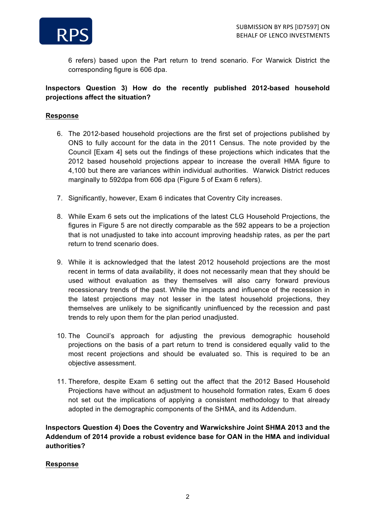

6 refers) based upon the Part return to trend scenario. For Warwick District the corresponding figure is 606 dpa.

### **Inspectors Question 3) How do the recently published 2012-based household projections affect the situation?**

#### **Response**

- 6. The 2012-based household projections are the first set of projections published by ONS to fully account for the data in the 2011 Census. The note provided by the Council [Exam 4] sets out the findings of these projections which indicates that the 2012 based household projections appear to increase the overall HMA figure to 4,100 but there are variances within individual authorities. Warwick District reduces marginally to 592dpa from 606 dpa (Figure 5 of Exam 6 refers).
- 7. Significantly, however, Exam 6 indicates that Coventry City increases.
- 8. While Exam 6 sets out the implications of the latest CLG Household Projections, the figures in Figure 5 are not directly comparable as the 592 appears to be a projection that is not unadjusted to take into account improving headship rates, as per the part return to trend scenario does.
- 9. While it is acknowledged that the latest 2012 household projections are the most recent in terms of data availability, it does not necessarily mean that they should be used without evaluation as they themselves will also carry forward previous recessionary trends of the past. While the impacts and influence of the recession in the latest projections may not lesser in the latest household projections, they themselves are unlikely to be significantly uninfluenced by the recession and past trends to rely upon them for the plan period unadjusted.
- 10. The Council's approach for adjusting the previous demographic household projections on the basis of a part return to trend is considered equally valid to the most recent projections and should be evaluated so. This is required to be an objective assessment.
- 11. Therefore, despite Exam 6 setting out the affect that the 2012 Based Household Projections have without an adjustment to household formation rates, Exam 6 does not set out the implications of applying a consistent methodology to that already adopted in the demographic components of the SHMA, and its Addendum.

**Inspectors Question 4) Does the Coventry and Warwickshire Joint SHMA 2013 and the Addendum of 2014 provide a robust evidence base for OAN in the HMA and individual authorities?**

#### **Response**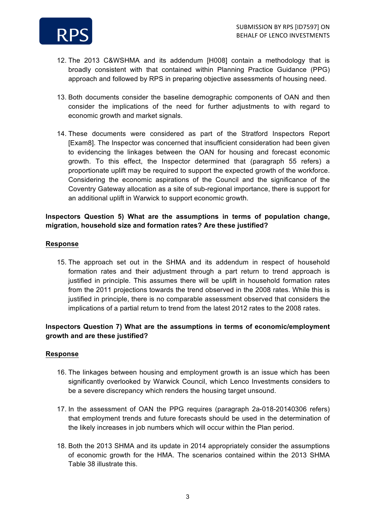

- 12. The 2013 C&WSHMA and its addendum [H008] contain a methodology that is broadly consistent with that contained within Planning Practice Guidance (PPG) approach and followed by RPS in preparing objective assessments of housing need.
- 13. Both documents consider the baseline demographic components of OAN and then consider the implications of the need for further adjustments to with regard to economic growth and market signals.
- 14. These documents were considered as part of the Stratford Inspectors Report [Exam8]. The Inspector was concerned that insufficient consideration had been given to evidencing the linkages between the OAN for housing and forecast economic growth. To this effect, the Inspector determined that (paragraph 55 refers) a proportionate uplift may be required to support the expected growth of the workforce. Considering the economic aspirations of the Council and the significance of the Coventry Gateway allocation as a site of sub-regional importance, there is support for an additional uplift in Warwick to support economic growth.

### **Inspectors Question 5) What are the assumptions in terms of population change, migration, household size and formation rates? Are these justified?**

#### **Response**

15. The approach set out in the SHMA and its addendum in respect of household formation rates and their adjustment through a part return to trend approach is justified in principle. This assumes there will be uplift in household formation rates from the 2011 projections towards the trend observed in the 2008 rates. While this is justified in principle, there is no comparable assessment observed that considers the implications of a partial return to trend from the latest 2012 rates to the 2008 rates.

# **Inspectors Question 7) What are the assumptions in terms of economic/employment growth and are these justified?**

#### **Response**

- 16. The linkages between housing and employment growth is an issue which has been significantly overlooked by Warwick Council, which Lenco Investments considers to be a severe discrepancy which renders the housing target unsound.
- 17. In the assessment of OAN the PPG requires (paragraph 2a-018-20140306 refers) that employment trends and future forecasts should be used in the determination of the likely increases in job numbers which will occur within the Plan period.
- 18. Both the 2013 SHMA and its update in 2014 appropriately consider the assumptions of economic growth for the HMA. The scenarios contained within the 2013 SHMA Table 38 illustrate this.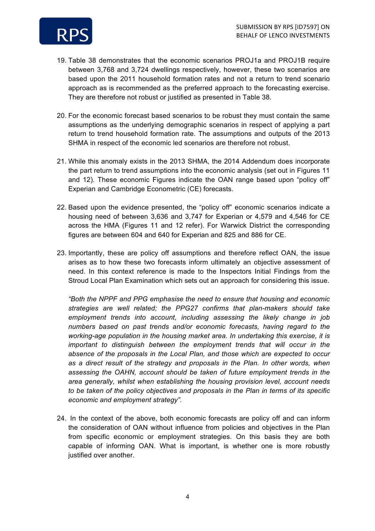

- 19. Table 38 demonstrates that the economic scenarios PROJ1a and PROJ1B require between 3,768 and 3,724 dwellings respectively, however, these two scenarios are based upon the 2011 household formation rates and not a return to trend scenario approach as is recommended as the preferred approach to the forecasting exercise. They are therefore not robust or justified as presented in Table 38.
- 20. For the economic forecast based scenarios to be robust they must contain the same assumptions as the underlying demographic scenarios in respect of applying a part return to trend household formation rate. The assumptions and outputs of the 2013 SHMA in respect of the economic led scenarios are therefore not robust.
- 21. While this anomaly exists in the 2013 SHMA, the 2014 Addendum does incorporate the part return to trend assumptions into the economic analysis (set out in Figures 11 and 12). These economic Figures indicate the OAN range based upon "policy off" Experian and Cambridge Econometric (CE) forecasts.
- 22. Based upon the evidence presented, the "policy off" economic scenarios indicate a housing need of between 3,636 and 3,747 for Experian or 4,579 and 4,546 for CE across the HMA (Figures 11 and 12 refer). For Warwick District the corresponding figures are between 604 and 640 for Experian and 825 and 886 for CE.
- 23. Importantly, these are policy off assumptions and therefore reflect OAN, the issue arises as to how these two forecasts inform ultimately an objective assessment of need. In this context reference is made to the Inspectors Initial Findings from the Stroud Local Plan Examination which sets out an approach for considering this issue.

*"Both the NPPF and PPG emphasise the need to ensure that housing and economic strategies are well related; the PPG27 confirms that plan-makers should take employment trends into account, including assessing the likely change in job numbers based on past trends and/or economic forecasts, having regard to the working-age population in the housing market area. In undertaking this exercise, it is important to distinguish between the employment trends that will occur in the absence of the proposals in the Local Plan, and those which are expected to occur as a direct result of the strategy and proposals in the Plan. In other words, when assessing the OAHN, account should be taken of future employment trends in the area generally, whilst when establishing the housing provision level, account needs to be taken of the policy objectives and proposals in the Plan in terms of its specific economic and employment strategy".*

24. In the context of the above, both economic forecasts are policy off and can inform the consideration of OAN without influence from policies and objectives in the Plan from specific economic or employment strategies. On this basis they are both capable of informing OAN. What is important, is whether one is more robustly justified over another.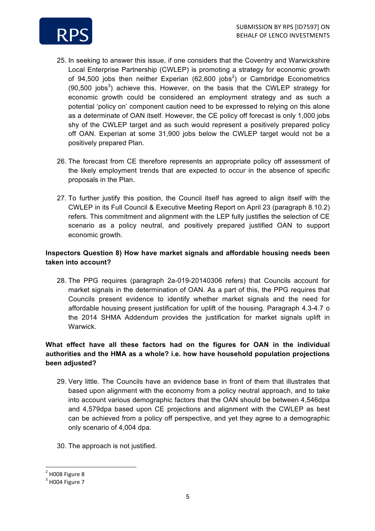

- 25. In seeking to answer this issue, if one considers that the Coventry and Warwickshire Local Enterprise Partnership (CWLEP) is promoting a strategy for economic growth of 94,500 jobs then neither Experian (62,600 jobs<sup>2</sup>) or Cambridge Econometrics  $(90,500)$  jobs<sup>3</sup>) achieve this. However, on the basis that the CWLEP strategy for economic growth could be considered an employment strategy and as such a potential 'policy on' component caution need to be expressed to relying on this alone as a determinate of OAN itself. However, the CE policy off forecast is only 1,000 jobs shy of the CWLEP target and as such would represent a positively prepared policy off OAN. Experian at some 31,900 jobs below the CWLEP target would not be a positively prepared Plan.
- 26. The forecast from CE therefore represents an appropriate policy off assessment of the likely employment trends that are expected to occur in the absence of specific proposals in the Plan.
- 27. To further justify this position, the Council itself has agreed to align itself with the CWLEP in its Full Council & Executive Meeting Report on April 23 (paragraph 8.10.2) refers. This commitment and alignment with the LEP fully justifies the selection of CE scenario as a policy neutral, and positively prepared justified OAN to support economic growth.

# **Inspectors Question 8) How have market signals and affordable housing needs been taken into account?**

28. The PPG requires (paragraph 2a-019-20140306 refers) that Councils account for market signals in the determination of OAN. As a part of this, the PPG requires that Councils present evidence to identify whether market signals and the need for affordable housing present justification for uplift of the housing. Paragraph 4.3-4.7 o the 2014 SHMA Addendum provides the justification for market signals uplift in Warwick.

# **What effect have all these factors had on the figures for OAN in the individual authorities and the HMA as a whole? i.e. how have household population projections been adjusted?**

- 29. Very little. The Councils have an evidence base in front of them that illustrates that based upon alignment with the economy from a policy neutral approach, and to take into account various demographic factors that the OAN should be between 4,546dpa and 4,579dpa based upon CE projections and alignment with the CWLEP as best can be achieved from a policy off perspective, and yet they agree to a demographic only scenario of 4,004 dpa.
- 30. The approach is not justified.

 

 $2$  H008 Figure 8

 $3$  H004 Figure 7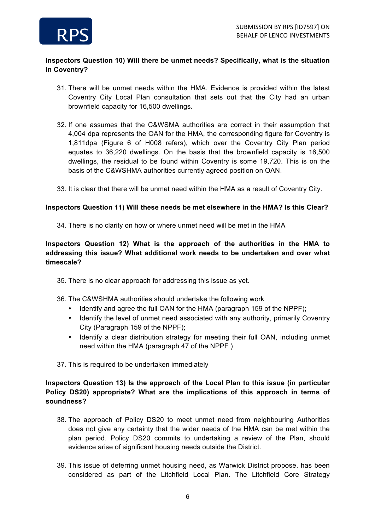

# **Inspectors Question 10) Will there be unmet needs? Specifically, what is the situation in Coventry?**

- 31. There will be unmet needs within the HMA. Evidence is provided within the latest Coventry City Local Plan consultation that sets out that the City had an urban brownfield capacity for 16,500 dwellings.
- 32. If one assumes that the C&WSMA authorities are correct in their assumption that 4,004 dpa represents the OAN for the HMA, the corresponding figure for Coventry is 1,811dpa (Figure 6 of H008 refers), which over the Coventry City Plan period equates to 36,220 dwellings. On the basis that the brownfield capacity is 16,500 dwellings, the residual to be found within Coventry is some 19,720. This is on the basis of the C&WSHMA authorities currently agreed position on OAN.
- 33. It is clear that there will be unmet need within the HMA as a result of Coventry City.

### **Inspectors Question 11) Will these needs be met elsewhere in the HMA? Is this Clear?**

34. There is no clarity on how or where unmet need will be met in the HMA

# **Inspectors Question 12) What is the approach of the authorities in the HMA to addressing this issue? What additional work needs to be undertaken and over what timescale?**

- 35. There is no clear approach for addressing this issue as yet.
- 36. The C&WSHMA authorities should undertake the following work
	- Identify and agree the full OAN for the HMA (paragraph 159 of the NPPF);
	- Identify the level of unmet need associated with any authority, primarily Coventry City (Paragraph 159 of the NPPF);
	- Identify a clear distribution strategy for meeting their full OAN, including unmet need within the HMA (paragraph 47 of the NPPF )
- 37. This is required to be undertaken immediately

# **Inspectors Question 13) Is the approach of the Local Plan to this issue (in particular Policy DS20) appropriate? What are the implications of this approach in terms of soundness?**

- 38. The approach of Policy DS20 to meet unmet need from neighbouring Authorities does not give any certainty that the wider needs of the HMA can be met within the plan period. Policy DS20 commits to undertaking a review of the Plan, should evidence arise of significant housing needs outside the District.
- 39. This issue of deferring unmet housing need, as Warwick District propose, has been considered as part of the Litchfield Local Plan. The Litchfield Core Strategy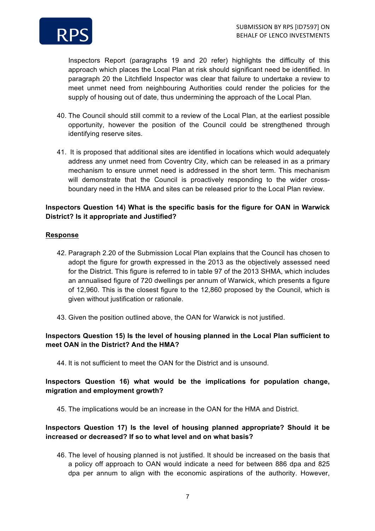

Inspectors Report (paragraphs 19 and 20 refer) highlights the difficulty of this approach which places the Local Plan at risk should significant need be identified. In paragraph 20 the Litchfield Inspector was clear that failure to undertake a review to meet unmet need from neighbouring Authorities could render the policies for the supply of housing out of date, thus undermining the approach of the Local Plan.

- 40. The Council should still commit to a review of the Local Plan, at the earliest possible opportunity, however the position of the Council could be strengthened through identifying reserve sites.
- 41. It is proposed that additional sites are identified in locations which would adequately address any unmet need from Coventry City, which can be released in as a primary mechanism to ensure unmet need is addressed in the short term. This mechanism will demonstrate that the Council is proactively responding to the wider crossboundary need in the HMA and sites can be released prior to the Local Plan review.

# **Inspectors Question 14) What is the specific basis for the figure for OAN in Warwick District? Is it appropriate and Justified?**

### **Response**

- 42. Paragraph 2.20 of the Submission Local Plan explains that the Council has chosen to adopt the figure for growth expressed in the 2013 as the objectively assessed need for the District. This figure is referred to in table 97 of the 2013 SHMA, which includes an annualised figure of 720 dwellings per annum of Warwick, which presents a figure of 12,960. This is the closest figure to the 12,860 proposed by the Council, which is given without justification or rationale.
- 43. Given the position outlined above, the OAN for Warwick is not justified.

# **Inspectors Question 15) Is the level of housing planned in the Local Plan sufficient to meet OAN in the District? And the HMA?**

44. It is not sufficient to meet the OAN for the District and is unsound.

### **Inspectors Question 16) what would be the implications for population change, migration and employment growth?**

45. The implications would be an increase in the OAN for the HMA and District.

# **Inspectors Question 17) Is the level of housing planned appropriate? Should it be increased or decreased? If so to what level and on what basis?**

46. The level of housing planned is not justified. It should be increased on the basis that a policy off approach to OAN would indicate a need for between 886 dpa and 825 dpa per annum to align with the economic aspirations of the authority. However,